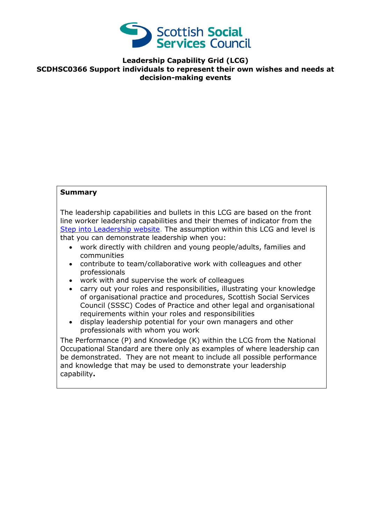

## **Leadership Capability Grid (LCG) SCDHSC0366 Support individuals to represent their own wishes and needs at decision-making events**

## **Summary**

The leadership capabilities and bullets in this LCG are based on the front line worker leadership capabilities and their themes of indicator from the [Step into Leadership website.](http://www.stepintoleadership.info/) The assumption within this LCG and level is that you can demonstrate leadership when you:

- work directly with children and young people/adults, families and communities
- contribute to team/collaborative work with colleagues and other professionals
- work with and supervise the work of colleagues
- carry out your roles and responsibilities, illustrating your knowledge of organisational practice and procedures, Scottish Social Services Council (SSSC) Codes of Practice and other legal and organisational requirements within your roles and responsibilities
- display leadership potential for your own managers and other professionals with whom you work

The Performance (P) and Knowledge (K) within the LCG from the National Occupational Standard are there only as examples of where leadership can be demonstrated. They are not meant to include all possible performance and knowledge that may be used to demonstrate your leadership capability**.**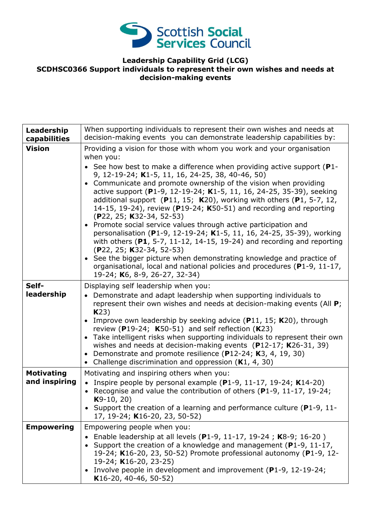

## **Leadership Capability Grid (LCG) SCDHSC0366 Support individuals to represent their own wishes and needs at decision-making events**

| Leadership<br>capabilities         | When supporting individuals to represent their own wishes and needs at<br>decision-making events you can demonstrate leadership capabilities by:                                                                                                                                                                                                                                                                                                                                                                                                                                                                                                                                                                                                                                                                                                                                                                                                                                                     |
|------------------------------------|------------------------------------------------------------------------------------------------------------------------------------------------------------------------------------------------------------------------------------------------------------------------------------------------------------------------------------------------------------------------------------------------------------------------------------------------------------------------------------------------------------------------------------------------------------------------------------------------------------------------------------------------------------------------------------------------------------------------------------------------------------------------------------------------------------------------------------------------------------------------------------------------------------------------------------------------------------------------------------------------------|
| <b>Vision</b>                      | Providing a vision for those with whom you work and your organisation<br>when you:<br>• See how best to make a difference when providing active support ( $P1$ -<br>9, 12-19-24; K1-5, 11, 16, 24-25, 38, 40-46, 50)<br>• Communicate and promote ownership of the vision when providing<br>active support (P1-9, 12-19-24; K1-5, 11, 16, 24-25, 35-39), seeking<br>additional support $(P11, 15; K20)$ , working with others $(P1, 5-7, 12,$<br>14-15, 19-24), review ( $P19-24$ ; K50-51) and recording and reporting<br>$(P22, 25; K32-34, 52-53)$<br>• Promote social service values through active participation and<br>personalisation (P1-9, 12-19-24; K1-5, 11, 16, 24-25, 35-39), working<br>with others ( $P1$ , 5-7, 11-12, 14-15, 19-24) and recording and reporting<br>$(P22, 25; K32-34, 52-53)$<br>• See the bigger picture when demonstrating knowledge and practice of<br>organisational, local and national policies and procedures (P1-9, 11-17,<br>19-24; K6, 8-9, 26-27, 32-34) |
| Self-<br>leadership                | Displaying self leadership when you:<br>• Demonstrate and adapt leadership when supporting individuals to<br>represent their own wishes and needs at decision-making events (All P;<br>K23)<br>Improve own leadership by seeking advice $(P11, 15; K20)$ , through<br>review (P19-24; $K50-51$ ) and self reflection (K23)<br>• Take intelligent risks when supporting individuals to represent their own<br>wishes and needs at decision-making events $(P12-17; K26-31, 39)$<br>• Demonstrate and promote resilience (P12-24; K3, 4, 19, 30)<br>• Challenge discrimination and oppression $(K1, 4, 30)$                                                                                                                                                                                                                                                                                                                                                                                            |
| <b>Motivating</b><br>and inspiring | Motivating and inspiring others when you:<br>• Inspire people by personal example $(P1-9, 11-17, 19-24; K14-20)$<br>• Recognise and value the contribution of others (P1-9, 11-17, 19-24;<br>$K9-10, 20)$<br>Support the creation of a learning and performance culture (P1-9, 11-<br>17, 19-24; K16-20, 23, 50-52)                                                                                                                                                                                                                                                                                                                                                                                                                                                                                                                                                                                                                                                                                  |
| <b>Empowering</b>                  | Empowering people when you:<br>Enable leadership at all levels (P1-9, 11-17, 19-24; K8-9; 16-20)<br>Support the creation of a knowledge and management ( $P1-9$ , 11-17,<br>19-24; K16-20, 23, 50-52) Promote professional autonomy (P1-9, 12-<br>19-24; K16-20, 23-25)<br>Involve people in development and improvement ( $P1-9$ , 12-19-24;<br>K16-20, 40-46, 50-52)                                                                                                                                                                                                                                                                                                                                                                                                                                                                                                                                                                                                                               |